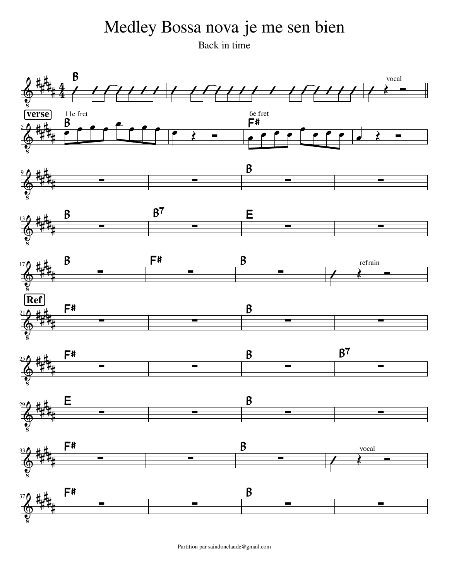## Medley Bossa nova je me sen bien

Back in time



Partition par saindonclaude@gmail.com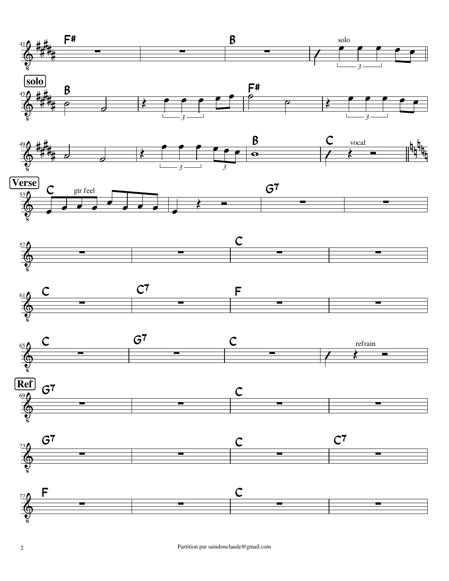





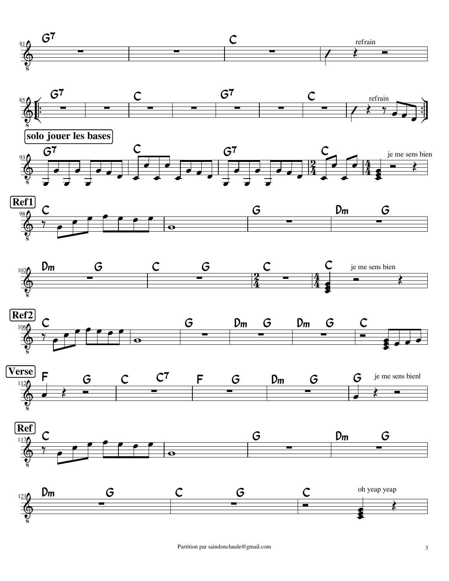















Partition par saindonclaude@gmail.com 3